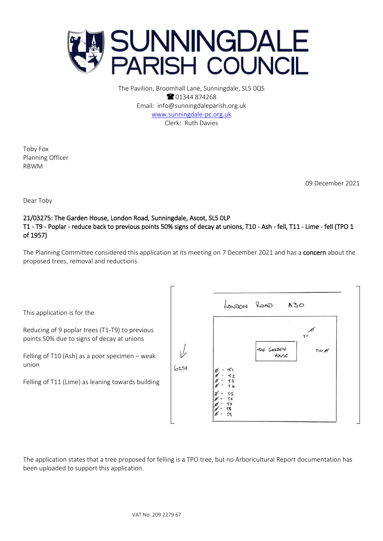

The Pavilion, Broomhall Lane, Sunningdale, SL5 0QS **8** 01344 874268 Email: info@sunningdaleparish.org.uk [www.sunningdale-pc.org.uk](http://www.sunningdale-pc.org.uk/) Clerk: Ruth Davies

Toby Fox Planning Officer RBWM

09 December 2021

Dear Toby

## 21/03275: The Garden House, London Road, Sunningdale, Ascot, SL5 0LP T1 - T9 - Poplar - reduce back to previous points 50% signs of decay at unions, T10 - Ash - fell, T11 - Lime - fell (TPO 1 of 1957)

The Planning Committee considered this application at its meeting on 7 December 2021 and has a concern about the proposed trees, removal and reductions.

LONDON ROAD A30 This application is for the Reducing of 9 poplar trees (T1-T9) to previous **TII** points 50% due to signs of decay at unions THE GARDEN TIO B Felling of T10 (Ash) as a poor specimen – weak House union  $60274$ Felling of T11 (Lime) as leaning towards building

The application states that a tree proposed for felling is a TPO tree, but no Arboricultural Report documentation has been uploaded to support this application.